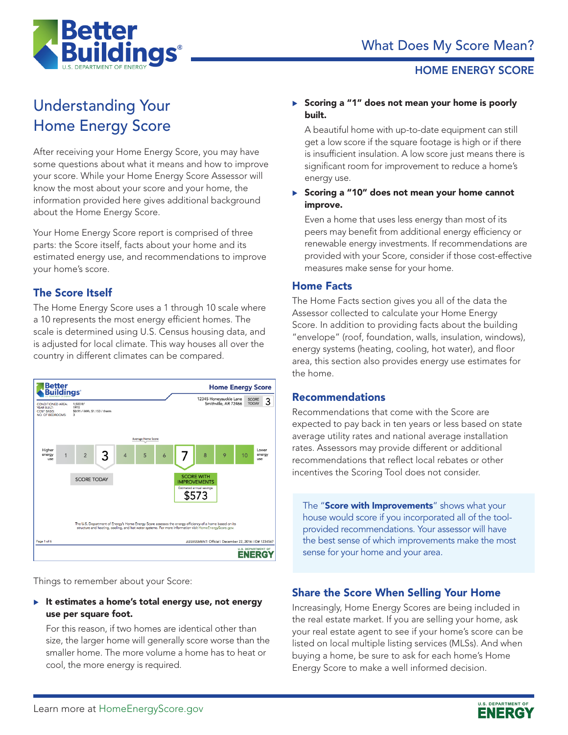

#### HOME ENERGY SCORE

# Understanding Your Home Energy Score

After receiving your Home Energy Score, you may have some questions about what it means and how to improve your score. While your Home Energy Score Assessor will know the most about your score and your home, the information provided here gives additional background about the Home Energy Score.

Your Home Energy Score report is comprised of three parts: the Score itself, facts about your home and its estimated energy use, and recommendations to improve your home's score.

### The Score Itself

The Home Energy Score uses a 1 through 10 scale where a 10 represents the most energy efficient homes. The scale is determined using U.S. Census housing data, and is adjusted for local climate. This way houses all over the country in different climates can be compared.



Things to remember about your Score:

 $\blacktriangleright$  It estimates a home's total energy use, not energy use per square foot.

For this reason, if two homes are identical other than size, the larger home will generally score worse than the smaller home. The more volume a home has to heat or cool, the more energy is required.

#### $\triangleright$  Scoring a "1" does not mean your home is poorly built.

A beautiful home with up-to-date equipment can still get a low score if the square footage is high or if there is insufficient insulation. A low score just means there is significant room for improvement to reduce a home's energy use.

 $\triangleright$  Scoring a "10" does not mean your home cannot improve.

Even a home that uses less energy than most of its peers may benefit from additional energy efficiency or renewable energy investments. If recommendations are provided with your Score, consider if those cost-effective measures make sense for your home.

#### Home Facts

The Home Facts section gives you all of the data the Assessor collected to calculate your Home Energy Score. In addition to providing facts about the building "envelope" (roof, foundation, walls, insulation, windows), energy systems (heating, cooling, hot water), and floor area, this section also provides energy use estimates for the home.

#### Recommendations

Recommendations that come with the Score are expected to pay back in ten years or less based on state average utility rates and national average installation rates. Assessors may provide different or additional recommendations that reflect local rebates or other incentives the Scoring Tool does not consider.

The "Score with Improvements" shows what your house would score if you incorporated all of the toolprovided recommendations. Your assessor will have the best sense of which improvements make the most sense for your home and your area.

### Share the Score When Selling Your Home

Increasingly, Home Energy Scores are being included in the real estate market. If you are selling your home, ask your real estate agent to see if your home's score can be listed on local multiple listing services (MLSs). And when buying a home, be sure to ask for each home's Home Energy Score to make a well informed decision.